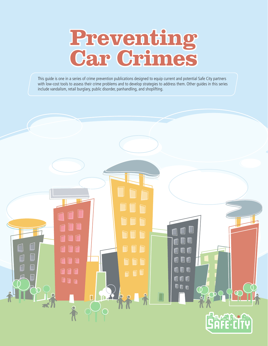# **Preventing**<br>**Car Grimes**

This guide is one in a series of crime prevention publications designed to equip current and potential Safe City partners with low-cost tools to assess their crime problems and to develop strategies to address them. Other guides in this series include vandalism, retail burglary, public disorder, panhandling, and shoplifting.

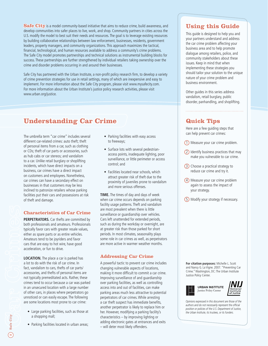**Safe City** is a model community-based initiative that aims to reduce crime, build awareness, and develop communities into safer places to live, work, and shop. Community partners in cities across the U.S. modify the model to best suit their needs and resources. The goal is to leverage existing resources by building collaborative relationships between law enforcement, businesses, residents, government leaders, property managers, and community organizations. This approach maximizes the tactical, financial, technological, and human resources available to address a community's crime problems. The Safe City model promotes partnerships and technical solutions as instrumental building blocks for success. These partnerships are further strengthened by individual retailers taking ownership over the crime and disorder problems occurring in and around their businesses.

Safe City has partnered with the Urban Institute, a non-profit policy research firm, to develop a variety of crime prevention strategies for use in retail settings, many of which are inexpensive and easy to implement. For more information about the Safe City program, please visit www.mysafecity.com. For more information about the Urban Institute's justice policy research activities, please visit www.urban.org/justice.

## **Understanding Car Crime**

The umbrella term "car crime" includes several different car-related crimes: auto theft; theft of personal items from a car, such as clothing or CDs; theft of car parts or accessories, such as hub cabs or car stereos; and vandalism to a car. Unlike retail burglary or shoplifting incidents, which have direct impacts on a business, car crimes have a direct impact on customers and employees. Nonetheless, car crimes can have a secondary effect on businesses in that customers may be less inclined to patronize retailers whose parking facilities put their cars and possessions at risk of theft and damage.

#### **Characteristics of Car Crime haracteristics**

**PERPETRATORS.** Car thefts are committed by both professionals and amateurs. Professionals typically favor cars with greater resale values, either as spare parts or as entire vehicles. Amateurs tend to be joyriders and favor cars that are easy to hot wire, have good acceleration, or fun to drive.

**LOCATION.** The place a car is parked has a lot to do with the risk of car crime. In fact, vandalism to cars, thefts of car parts/ accessories, and thefts of personal items are not typically premeditated acts. Rather, these crimes tend to occur because a car was parked in an unsecured location with a large number of other cars, in places where perpetrators go unnoticed or can easily escape. The following are some locations most prone to car crime:

- Large parking facilities, such as those at a shopping mall;
- Parking facilities located in urban areas;
- Parking facilities with easy access to freeways;
- Surface lots with several pedestrianaccess points, inadequate lighting, poor surveillance, or little perimeter or access control; and
- Facilities located near schools, which attract greater risk of theft due to the proximity of juveniles prone to vandalism and more serious offenses.

**TIME.** The times of day and days of week when car crime occurs depends on parking facility usage patterns. Theft and vandalism are most prevalent when there is little surveillance or guardianship over vehicles. Cars left unattended for extended periods, such as during the workday or overnight, are at greater risk than those parked for short periods. In most climates, seasonality plays some role in car crimes as well, as perpetrators are more active in warmer weather months.

#### **Addressing Car Crime**

A powerful tactic to prevent car crime includes changing vulnerable aspects of locations, making it more difficult to commit a car crime. Improving surveillance of and guardianship over parking facilities, as well as controlling access into and out of facilities, can make parking areas much less attractive to potential perpetrators of car crimes. While arresting a car theft suspect has immediate benefits, another perpetrator is likely to replace him or her. However, modifying a parking facility's characteristics – by improving lighting or adding electronic gates at entrances and exits **C**– will deter most likely offenders.

## **Using this Guide his**

This guide is designed to help you and your partners understand and address the car crime problem affecting your business area and to help promote dialogue among retailers, police, and community stakeholders about these issues. Keep in mind that when implementing these strategies you should tailor your solution to the unique nature of your crime problem and business environment.

Other guides in this series address vandalism, retail burglary, public disorder, panhandling, and shoplifting.

## **Quick Tips uick**

Here are a few guiding steps that can help prevent car crimes:

- 1 Measure your car crime problem.
- 2 Identify business practices that may make you vulnerable to car crime.
- 3 Choose a practical strategy to reduce car crime and try it.
- 4 Measure your car crime problem again to assess the impact of your strategy.
- 5 Modify your strategy if necessary.

**For citation purposes:** Michelle L. Scott and Nancy G. La Vigne. 2007. "Preventing Car Crime." Washington, DC: The Urban Institute Justice Policy Center.



**URBAN INSTITUTE** 

*Opinions expressed in this document are those of the*  authors and do not necessarily represent the official *position or policies of the U.S. Department of Justice, the Urban Institute, its trustees, or its funders.*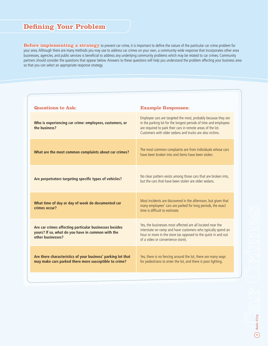## **Defining Your Problem ning**

Before *implementing a strategy* to prevent car crime, it is important to define the nature of the particular car crime problem for your area. Although there are many methods you may use to address car crimes on your own, a community-wide response that incorporates other area businesses, agencies, and public services is beneficial to address any underlying community problems which may be related to car crimes. Community partners should consider the questions that appear below. Answers to these questions will help you understand the problem affecting your business area so that you can select an appropriate response strategy.

| Questions to Ask:                                                                                                                | <b>Example Responses:</b>                                                                                                                                                                                                                                     |  |
|----------------------------------------------------------------------------------------------------------------------------------|---------------------------------------------------------------------------------------------------------------------------------------------------------------------------------------------------------------------------------------------------------------|--|
| Who is experiencing car crime: employees, customers, or<br>the business?                                                         | Employee cars are targeted the most, probably because they are<br>in the parking lot for the longest periods of time and employees<br>are required to park their cars in remote areas of the lot.<br>Customers with older sedans and trucks are also victims. |  |
| What are the most common complaints about car crimes?                                                                            | The most common complaints are from individuals whose cars<br>have been broken into and items have been stolen.                                                                                                                                               |  |
| Are perpetrators targeting specific types of vehicles?                                                                           | No clear pattern exists among those cars that are broken into,<br>but the cars that have been stolen are older sedans.                                                                                                                                        |  |
| What time of day or day of week do documented car<br>crimes occur?                                                               | Most incidents are discovered in the afternoon, but given that<br>many employees' cars are parked for long periods, the exact<br>time is difficult to estimate.                                                                                               |  |
| Are car crimes affecting particular businesses besides<br>yours? If so, what do you have in common with the<br>other businesses? | Yes, the businesses most affected are all located near the<br>interstate on-ramp and have customers who typically spend an<br>hour or more in the store (as opposed to the quick in and out<br>of a video or convenience store).                              |  |
| Are there characteristics of your business' parking lot that<br>may make cars parked there more susceptible to crime?            | Yes, there is no fencing around the lot, there are many ways<br>for pedestrians to enter the lot, and there is poor lighting.                                                                                                                                 |  |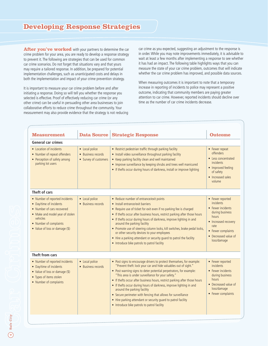# **Developing Response Strategies**

After you've worked with your partners to determine the car crime problem for your area, you are ready to develop a response strategy to prevent it. The following are strategies that can be used for common car crime scenarios. Do not forget that situations vary and that yours may require a tailored response. In addition, be prepared for potential implementation challenges, such as unanticipated costs and delays in both the implementation and impact of your crime prevention strategy.

It is important to measure your car crime problem before and after initiating a response. Doing so will tell you whether the response you selected is effective. Proof of effectively reducing car crime (or any other crime) can be useful in persuading other area businesses to join collaborative efforts to reduce crime throughout the community. Your measurement may also provide evidence that the strategy is not reducing car crime as you expected, suggesting an adjustment to the response is in order. While you may note improvements immediately, it is advisable to wait at least a few months after implementing a response to see whether it has had an impact. The following table highlights ways that you can measure the state of your car crime problem, outcomes that will indicate whether the car crime problem has improved, and possible data sources.

When measuring outcomes it is important to note that a temporary increase in reporting of incidents to police may represent a positive outcome, indicating that community members are paying greater attention to car crime. However, reported incidents should decline over time as the number of car crime incidents decrease.

| <b>Measurement</b>                                                                                                                                                                                 | <b>Data Source</b>                                            | <b>Strategic Response</b>                                                                                                                                                                                                                                                                                                                                                                                                                                                                                                                                                                                                                | <b>Outcome</b>                                                                                                                                                                     |
|----------------------------------------------------------------------------------------------------------------------------------------------------------------------------------------------------|---------------------------------------------------------------|------------------------------------------------------------------------------------------------------------------------------------------------------------------------------------------------------------------------------------------------------------------------------------------------------------------------------------------------------------------------------------------------------------------------------------------------------------------------------------------------------------------------------------------------------------------------------------------------------------------------------------------|------------------------------------------------------------------------------------------------------------------------------------------------------------------------------------|
| <b>General car crimes</b>                                                                                                                                                                          |                                                               |                                                                                                                                                                                                                                                                                                                                                                                                                                                                                                                                                                                                                                          |                                                                                                                                                                                    |
| • Location of incidents<br>• Number of repeat offenders<br>• Perception of safety among<br>parking lot users                                                                                       | • Local police<br>• Business records<br>• Survey of customers | • Restrict pedestrian traffic through parking facility<br>• Install video surveillance throughout parking facility<br>• Keep parking facility clean and well maintained<br>• Improve surveillance by keeping shrubs and trees well manicured<br>• If thefts occur during hours of darkness, install or improve lighting                                                                                                                                                                                                                                                                                                                  | • Fewer repeat<br>offenders<br>• Less concentrated<br><i>incidents</i><br>• Improved feeling<br>of safety<br>• Increased sales<br>volume                                           |
| Theft of cars                                                                                                                                                                                      |                                                               |                                                                                                                                                                                                                                                                                                                                                                                                                                                                                                                                                                                                                                          |                                                                                                                                                                                    |
| • Number of reported incidents<br>• Day/time of incidents<br>• Number of cars recovered<br>• Make and model year of stolen<br>vehicles<br>• Number of complaints<br>• Value of loss or damage (\$) | • Local police<br>• Business records                          | • Reduce number of entrance/exit points<br>• Install entrance/exit barriers<br>• Require use of ticket for exit even if no parking fee is charged<br>• If thefts occur after business hours, restrict parking after those hours<br>• If thefts occur during hours of darkness, improve lighting in and<br>around the parking facility<br>• Promote use of steering column locks, kill switches, brake pedal locks,<br>or other security devices to your employees<br>• Hire a parking attendant or security guard to patrol the facility<br>• Introduce bike patrols to patrol facility                                                  | • Fewer reported<br><i>incidents</i><br>• Fewer incidents<br>during business<br>hours<br>• Increased recovery<br>rate<br>• Fewer complaints<br>• Decreased value of<br>loss/damage |
| Theft from cars                                                                                                                                                                                    |                                                               |                                                                                                                                                                                                                                                                                                                                                                                                                                                                                                                                                                                                                                          |                                                                                                                                                                                    |
| • Number of reported incidents<br>• Day/time of incidents<br>• Value of loss or damage (\$)<br>• Types of items stolen<br>• Number of complaints                                                   | • Local police<br>• Business records                          | • Post signs to encourage drivers to protect themselves, for example:<br>"Prevent theft: lock your car and hide valuables out of sight."<br>• Post warning signs to deter potential perpetrators, for example:<br>"This area is under surveillance for your safety."<br>• If thefts occur after business hours, restrict parking after those hours<br>• If thefts occur during hours of darkness, improve lighting in and<br>around the parking facility<br>• Secure perimeter with fencing that allows for surveillance<br>• Hire parking attendant or security guard to patrol facility<br>• Introduce bike patrols to patrol facility | • Fewer reported<br><i>incidents</i><br>• Fewer incidents<br>during business<br>hours<br>• Decreased value of<br>loss/damage<br>• Fewer complaints                                 |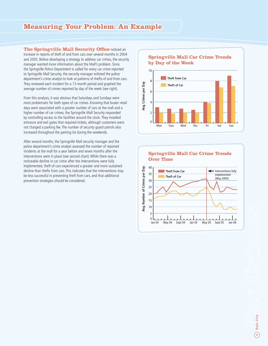## **Measuring Your Problem: An Example**

**The Springville Mall Security Office noticed an** increase in reports of theft of and from cars over several months in 2004 and 2005. Before developing a strategy to address car crimes, the security manager wanted more information about the Mall's problem. Since the Springville Police Department is called for every car crime reported to Springville Mall Security, the security manager enlisted the police department's crime analyst to look at patterns of thefts of and from cars. They reviewed each incident for a 12-month period and graphed the average number of crimes reported by day of the week (see right).

From this analysis, it was obvious that Saturdays and Sundays were most problematic for both types of car crimes. Knowing that busier retail days were associated with a greater number of cars at the mall and a higher number of car crimes, the Springville Mall Security responded by controlling access to the facilities around the clock. They installed entrance and exit gates that required tickets, although customers were not charged a parking fee. The number of security guard patrols also increased throughout the parking lot during the weekends.

After several months, the Springville Mall security manager and the police department's crime analyst assessed the number of reported incidents at the mall for a year before and seven months after the interventions were in place (see second chart). While there was a noticeable decline in car crime after the interventions were fully implemented, theft of cars experienced a greater and more sustained decline than thefts from cars. This indicates that the interventions may be less successful in preventing theft from cars, and that additional prevention strategies should be considered.

#### **Springville Mall Car Crime Trends by Day of the Week**



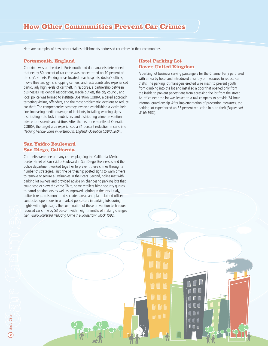## **How Other Communities Prevent Car Crimes**

Here are examples of how other retail establishments addressed car crimes in their communities.

#### **Portsmouth, England ortsmouth,**

Car crime was on the rise in Portsmouth and data analysis determined that nearly 50 percent of car crime was concentrated on 10 percent of the city's streets. Parking areas located near hospitals, doctor's offices, movie theaters, gyms, shopping centers, and restaurants also experienced particularly high levels of car theft. In response, a partnership between businesses, residential associations, media outlets, the city council, and local police was formed to institute Operation COBRA, a tiered approach targeting victims, offenders, and the most problematic locations to reduce car theft. The comprehensive strategy involved establishing a victim help line, increasing media coverage of incidents, installing warning signs, distributing auto lock immobilizers, and distributing crime prevention advice to residents and visitors. After the first nine months of Operation COBRA, the target area experienced a 31 percent reduction in car crime *(Tackling Vehicle Crime in Portsmouth, England: Operation COBRA 2004)*.

#### **San Ysidro Boulevard an San Diego, California**

Car thefts were one of many crimes plaguing the California-Mexico border street of San Ysidro Boulevard in San Diego. Businesses and the police department worked together to prevent these crimes through a number of strategies. First, the partnership posted signs to warn drivers to remove or secure all valuables in their cars. Second, police met with parking lot owners and provided advice on changes to parking lots that could stop or slow the crime. Third, some retailers hired security guards to patrol parking lots as well as improved lighting in the lots. Lastly, police bike patrols monitored secluded areas and plain-clothed officers conducted operations in unmarked police cars in parking lots during nights with high usage. The combination of these prevention techniques reduced car crime by 53 percent within eight months of making changes *(San Ysidro Boulevard Reducing Crime in a Bordertown Block 1998)*.

### **Hotel Parking Lot Dover, United Kingdom over,**

A parking lot business serving passengers for the Channel Ferry partnered with a nearby hotel and introduced a variety of measures to reduce car thefts. The parking lot managers erected wire mesh to prevent youth from climbing into the lot and installed a door that opened only from the inside to prevent pedestrians from accessing the lot from the street. An office near the lot was leased to a taxi company to provide 24-hour informal guardianship. After implementation of prevention measures, the parking lot experienced an 85 percent reduction in auto theft *(Poyner and Webb 1987)*.

> A D O NNN  $\mathbf{0}$  or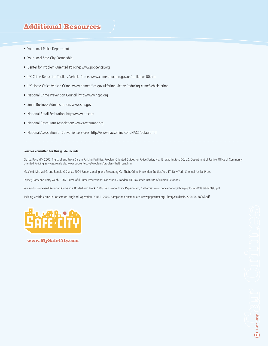## **Additional Resources**

- Your Local Police Department
- Your Local Safe City Partnership
- Center for Problem-Oriented Policing: www.popcenter.org
- UK Crime Reduction Toolkits, Vehicle Crime: www.crimereduction.gov.uk/toolkits/vc00.htm
- UK Home Office Vehicle Crime: www.homeoffice.gov.uk/crime-victims/reducing-crime/vehicle-crime
- National Crime Prevention Council: http://www.ncpc.org
- Small Business Administration: www.sba.gov
- National Retail Federation: http://www.nrf.com
- National Restaurant Association: www.restaurant.org
- National Association of Convenience Stores: http://www.nacsonline.com/NACS/default.htm

#### **Sources consulted for this guide include:**

Clarke, Ronald V. 2002. Thefts of and From Cars in Parking Facilities. Problem-Oriented Guides for Police Series, No. 13. Washington, DC: U.S. Department of Justice, Office of Community Oriented Policing Services. Available: www.popcenter.org/Problems/problem-theft\_cars.htm.

Maxfield, Michael G. and Ronald V. Clarke. 2004. Understanding and Preventing Car Theft. Crime Prevention Studies, Vol. 17. New York: Criminal Justice Press.

Poyner, Barry and Barry Webb. 1987. Successful Crime Prevention: Case Studies. London, UK: Tavistock Institute of Human Relations.

San Ysidro Boulevard Reducing Crime in a Bordertown Block. 1998. San Diego Police Department, California: www.popcenter.org/library/goldstein/1998/98-71(F).pdf

Tackling Vehicle Crime in Portsmouth, England: Operation COBRA. 2004. Hampshire Constabulary: www.popcenter.org/Library/Goldstein/2004/04-38(W).pdf



**www.MySafeCity.com ww.MySafeCity.com**